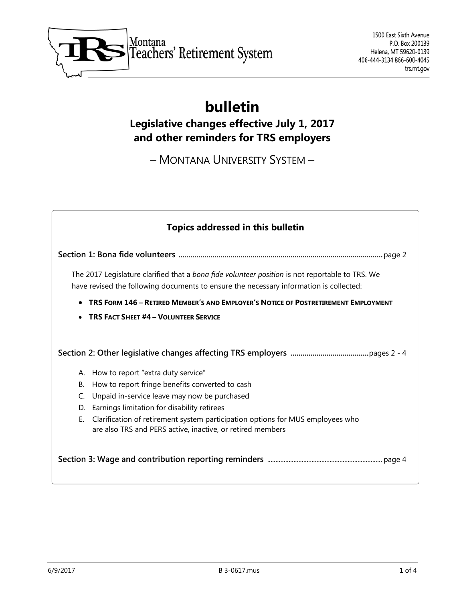

# **bulletin**

# **Legislative changes effective July 1, 2017 and other reminders for TRS employers**

– MONTANA UNIVERSITY SYSTEM –

| <b>Topics addressed in this bulletin</b>                                                                                                                                                  |
|-------------------------------------------------------------------------------------------------------------------------------------------------------------------------------------------|
|                                                                                                                                                                                           |
| The 2017 Legislature clarified that a bona fide volunteer position is not reportable to TRS. We<br>have revised the following documents to ensure the necessary information is collected: |
| TRS FORM 146 - RETIRED MEMBER'S AND EMPLOYER'S NOTICE OF POSTRETIREMENT EMPLOYMENT                                                                                                        |
| <b>TRS FACT SHEET #4 - VOLUNTEER SERVICE</b>                                                                                                                                              |
|                                                                                                                                                                                           |
| How to report "extra duty service"<br>А.                                                                                                                                                  |
| How to report fringe benefits converted to cash<br>В.                                                                                                                                     |
| Unpaid in-service leave may now be purchased<br>C.                                                                                                                                        |
| Earnings limitation for disability retirees<br>D.                                                                                                                                         |
| Clarification of retirement system participation options for MUS employees who<br>Е.<br>are also TRS and PERS active, inactive, or retired members                                        |
|                                                                                                                                                                                           |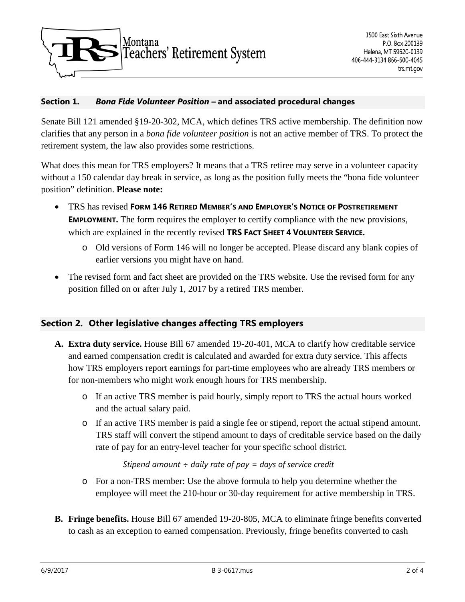

#### **Section 1.** *Bona Fide Volunteer Position* **– and associated procedural changes**

Senate Bill 121 amended §19-20-302, MCA, which defines TRS active membership. The definition now clarifies that any person in a *bona fide volunteer position* is not an active member of TRS. To protect the retirement system, the law also provides some restrictions.

What does this mean for TRS employers? It means that a TRS retiree may serve in a volunteer capacity without a 150 calendar day break in service, as long as the position fully meets the "bona fide volunteer position" definition. **Please note:**

- TRS has revised **FORM 146 RETIRED MEMBER'S AND EMPLOYER'S NOTICE OF POSTRETIREMENT EMPLOYMENT.** The form requires the employer to certify compliance with the new provisions, which are explained in the recently revised **TRS FACT SHEET 4 VOLUNTEER SERVICE.**
	- o Old versions of Form 146 will no longer be accepted. Please discard any blank copies of earlier versions you might have on hand.
- The revised form and fact sheet are provided on the TRS website. Use the revised form for any position filled on or after July 1, 2017 by a retired TRS member.

## **Section 2. Other legislative changes affecting TRS employers**

- **A. Extra duty service.** House Bill 67 amended 19-20-401, MCA to clarify how creditable service and earned compensation credit is calculated and awarded for extra duty service. This affects how TRS employers report earnings for part-time employees who are already TRS members or for non-members who might work enough hours for TRS membership.
	- o If an active TRS member is paid hourly, simply report to TRS the actual hours worked and the actual salary paid.
	- o If an active TRS member is paid a single fee or stipend, report the actual stipend amount. TRS staff will convert the stipend amount to days of creditable service based on the daily rate of pay for an entry-level teacher for your specific school district.

*Stipend amount ÷ daily rate of pay = days of service credit*

- o For a non-TRS member: Use the above formula to help you determine whether the employee will meet the 210-hour or 30-day requirement for active membership in TRS.
- **B. Fringe benefits.** House Bill 67 amended 19-20-805, MCA to eliminate fringe benefits converted to cash as an exception to earned compensation. Previously, fringe benefits converted to cash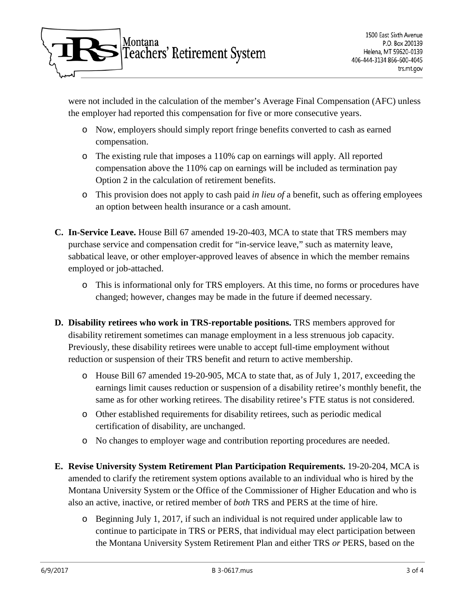

were not included in the calculation of the member's Average Final Compensation (AFC) unless the employer had reported this compensation for five or more consecutive years.

- o Now, employers should simply report fringe benefits converted to cash as earned compensation.
- o The existing rule that imposes a 110% cap on earnings will apply. All reported compensation above the 110% cap on earnings will be included as termination pay Option 2 in the calculation of retirement benefits.
- o This provision does not apply to cash paid *in lieu of* a benefit, such as offering employees an option between health insurance or a cash amount.
- **C. In-Service Leave.** House Bill 67 amended 19-20-403, MCA to state that TRS members may purchase service and compensation credit for "in-service leave," such as maternity leave, sabbatical leave, or other employer-approved leaves of absence in which the member remains employed or job-attached.
	- o This is informational only for TRS employers. At this time, no forms or procedures have changed; however, changes may be made in the future if deemed necessary.
- **D. Disability retirees who work in TRS-reportable positions.** TRS members approved for disability retirement sometimes can manage employment in a less strenuous job capacity. Previously, these disability retirees were unable to accept full-time employment without reduction or suspension of their TRS benefit and return to active membership.
	- o House Bill 67 amended 19-20-905, MCA to state that, as of July 1, 2017, exceeding the earnings limit causes reduction or suspension of a disability retiree's monthly benefit, the same as for other working retirees. The disability retiree's FTE status is not considered.
	- o Other established requirements for disability retirees, such as periodic medical certification of disability, are unchanged.
	- o No changes to employer wage and contribution reporting procedures are needed.
- **E. Revise University System Retirement Plan Participation Requirements.** 19-20-204, MCA is amended to clarify the retirement system options available to an individual who is hired by the Montana University System or the Office of the Commissioner of Higher Education and who is also an active, inactive, or retired member of *both* TRS and PERS at the time of hire.
	- o Beginning July 1, 2017, if such an individual is not required under applicable law to continue to participate in TRS or PERS, that individual may elect participation between the Montana University System Retirement Plan and either TRS *or* PERS, based on the